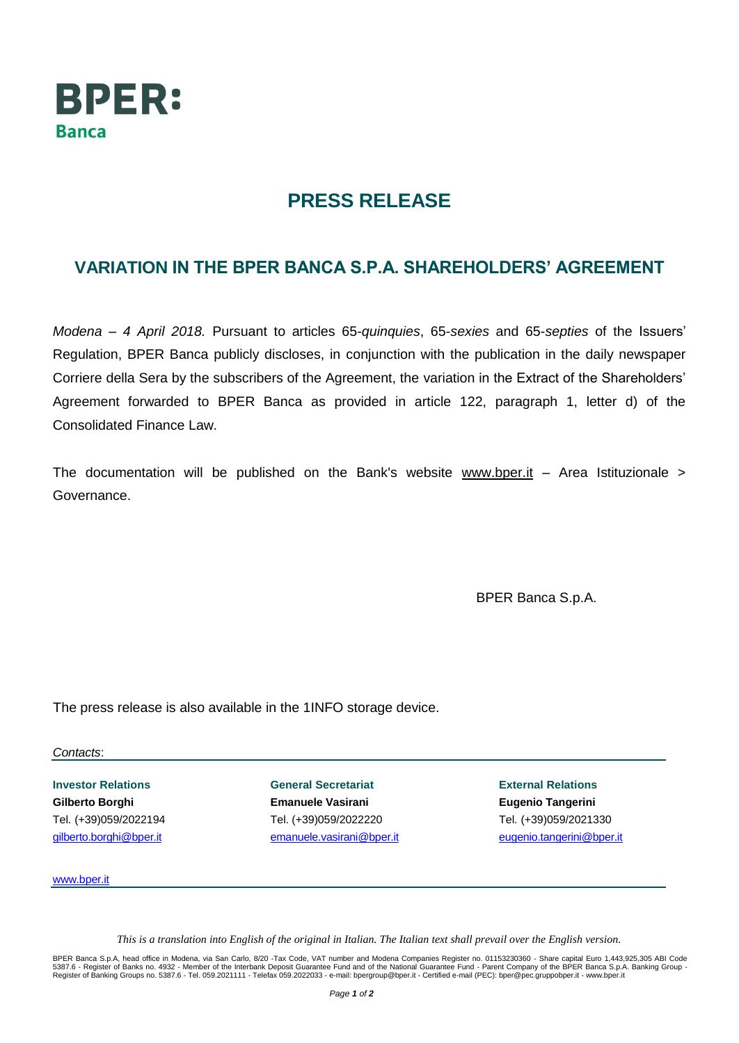

## **PRESS RELEASE**

## **VARIATION IN THE BPER BANCA S.P.A. SHAREHOLDERS' AGREEMENT**

*Modena – 4 April 2018.* Pursuant to articles 65-*quinquies*, 65-*sexies* and 65-*septies* of the Issuers' Regulation, BPER Banca publicly discloses, in conjunction with the publication in the daily newspaper Corriere della Sera by the subscribers of the Agreement, the variation in the Extract of the Shareholders' Agreement forwarded to BPER Banca as provided in article 122, paragraph 1, letter d) of the Consolidated Finance Law.

The documentation will be published on the Bank's website [www.bper.it](http://www.bper.it/)  $-$  Area Istituzionale  $>$ Governance.

BPER Banca S.p.A.

The press release is also available in the 1INFO storage device.

*Contacts*:

**Investor Relations Gilberto Borghi** Tel. (+39)059/2022194 [gilberto.borghi@bper.it](mailto:gilberto.borghi@bper.it)

**General Secretariat Emanuele Vasirani** Tel. (+39)059/2022220 [emanuele.vasirani@bper.it](mailto:emanuele.vasirani@bper.it)

**External Relations Eugenio Tangerini** Tel. (+39)059/2021330 [eugenio.tangerini@bper.it](mailto:eugenio.tangerini@bper.it)

[www.bper.it](http://www.bper.it/)

*This is a translation into English of the original in Italian. The Italian text shall prevail over the English version.*

BPER Banca S.p.A, head office in Modena, via San Carlo, 8/20 -Tax Code, VAT number and Modena Companies Register no. 01153230360 - Share capital Euro 1,443,925,305 ABI Code<br>5387.6 - Register of Banks no. 4932 - Member of t